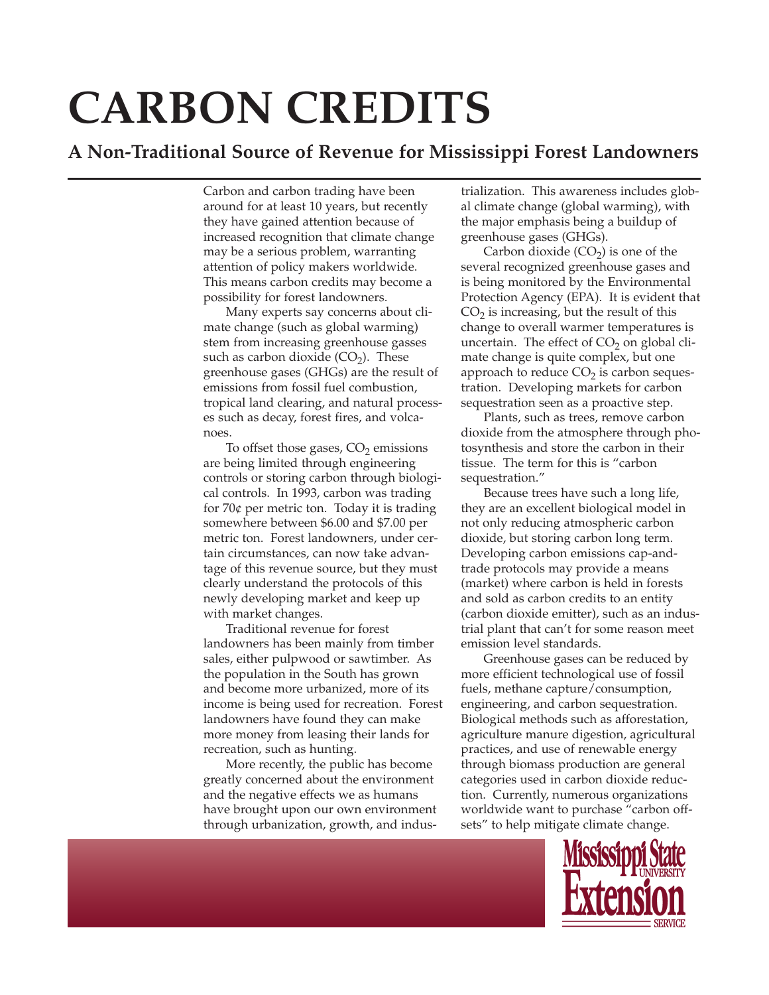# **CARBON CREDITS**

## **A Non-Traditional Source of Revenue for Mississippi Forest Landowners**

Carbon and carbon trading have been around for at least 10 years, but recently they have gained attention because of increased recognition that climate change may be a serious problem, warranting attention of policy makers worldwide. This means carbon credits may become a possibility for forest landowners.

Many experts say concerns about climate change (such as global warming) stem from increasing greenhouse gasses such as carbon dioxide  $(CO<sub>2</sub>)$ . These greenhouse gases (GHGs) are the result of emissions from fossil fuel combustion, tropical land clearing, and natural processes such as decay, forest fires, and volcanoes.

To offset those gases,  $CO<sub>2</sub>$  emissions are being limited through engineering controls or storing carbon through biological controls. In 1993, carbon was trading for  $70¢$  per metric ton. Today it is trading somewhere between \$6.00 and \$7.00 per metric ton. Forest landowners, under certain circumstances, can now take advantage of this revenue source, but they must clearly understand the protocols of this newly developing market and keep up with market changes.

Traditional revenue for forest landowners has been mainly from timber sales, either pulpwood or sawtimber. As the population in the South has grown and become more urbanized, more of its income is being used for recreation. Forest landowners have found they can make more money from leasing their lands for recreation, such as hunting.

More recently, the public has become greatly concerned about the environment and the negative effects we as humans have brought upon our own environment through urbanization, growth, and industrialization. This awareness includes global climate change (global warming), with the major emphasis being a buildup of greenhouse gases (GHGs).

Carbon dioxide  $(CO<sub>2</sub>)$  is one of the several recognized greenhouse gases and is being monitored by the Environmental Protection Agency (EPA). It is evident that  $CO<sub>2</sub>$  is increasing, but the result of this change to overall warmer temperatures is uncertain. The effect of  $CO<sub>2</sub>$  on global climate change is quite complex, but one approach to reduce  $CO<sub>2</sub>$  is carbon sequestration. Developing markets for carbon sequestration seen as a proactive step.

Plants, such as trees, remove carbon dioxide from the atmosphere through photosynthesis and store the carbon in their tissue. The term for this is "carbon sequestration."

Because trees have such a long life, they are an excellent biological model in not only reducing atmospheric carbon dioxide, but storing carbon long term. Developing carbon emissions cap-andtrade protocols may provide a means (market) where carbon is held in forests and sold as carbon credits to an entity (carbon dioxide emitter), such as an industrial plant that can't for some reason meet emission level standards.

Greenhouse gases can be reduced by more efficient technological use of fossil fuels, methane capture/consumption, engineering, and carbon sequestration. Biological methods such as afforestation, agriculture manure digestion, agricultural practices, and use of renewable energy through biomass production are general categories used in carbon dioxide reduction. Currently, numerous organizations worldwide want to purchase "carbon offsets" to help mitigate climate change.

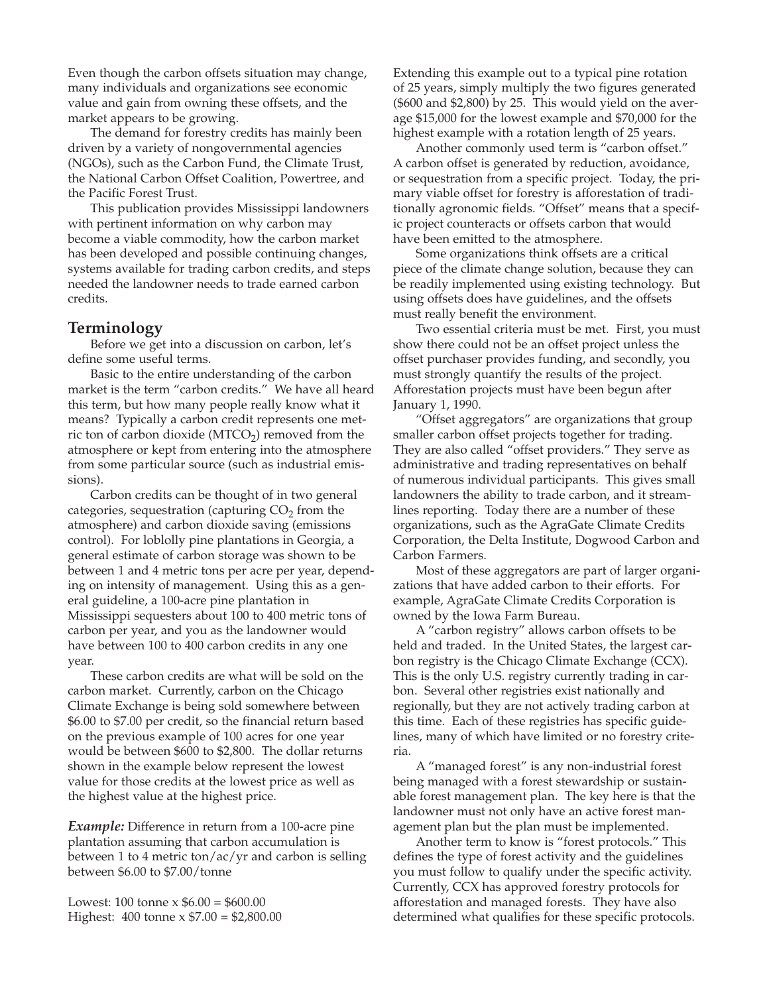Even though the carbon offsets situation may change, many individuals and organizations see economic value and gain from owning these offsets, and the market appears to be growing.

The demand for forestry credits has mainly been driven by a variety of nongovernmental agencies (NGOs), such as the Carbon Fund, the Climate Trust, the National Carbon Offset Coalition, Powertree, and the Pacific Forest Trust.

This publication provides Mississippi landowners with pertinent information on why carbon may become a viable commodity, how the carbon market has been developed and possible continuing changes, systems available for trading carbon credits, and steps needed the landowner needs to trade earned carbon credits.

## **Terminology**

Before we get into a discussion on carbon, let's define some useful terms.

Basic to the entire understanding of the carbon market is the term "carbon credits." We have all heard this term, but how many people really know what it means? Typically a carbon credit represents one metric ton of carbon dioxide  $(MTCO<sub>2</sub>)$  removed from the atmosphere or kept from entering into the atmosphere from some particular source (such as industrial emissions).

Carbon credits can be thought of in two general categories, sequestration (capturing  $CO<sub>2</sub>$  from the atmosphere) and carbon dioxide saving (emissions control). For loblolly pine plantations in Georgia, a general estimate of carbon storage was shown to be between 1 and 4 metric tons per acre per year, depending on intensity of management. Using this as a general guideline, a 100-acre pine plantation in Mississippi sequesters about 100 to 400 metric tons of carbon per year, and you as the landowner would have between 100 to 400 carbon credits in any one year.

These carbon credits are what will be sold on the carbon market. Currently, carbon on the Chicago Climate Exchange is being sold somewhere between \$6.00 to \$7.00 per credit, so the financial return based on the previous example of 100 acres for one year would be between \$600 to \$2,800. The dollar returns shown in the example below represent the lowest value for those credits at the lowest price as well as the highest value at the highest price.

*Example:* Difference in return from a 100-acre pine plantation assuming that carbon accumulation is between 1 to 4 metric ton/ac/yr and carbon is selling between \$6.00 to \$7.00/tonne

Lowest:  $100 \text{ tonne} \times $6.00 = $600.00$ Highest: 400 tonne x \$7.00 = \$2,800.00 Extending this example out to a typical pine rotation of 25 years, simply multiply the two figures generated (\$600 and \$2,800) by 25. This would yield on the average \$15,000 for the lowest example and \$70,000 for the highest example with a rotation length of 25 years.

Another commonly used term is "carbon offset." A carbon offset is generated by reduction, avoidance, or sequestration from a specific project. Today, the primary viable offset for forestry is afforestation of traditionally agronomic fields. "Offset" means that a specific project counteracts or offsets carbon that would have been emitted to the atmosphere.

Some organizations think offsets are a critical piece of the climate change solution, because they can be readily implemented using existing technology. But using offsets does have guidelines, and the offsets must really benefit the environment.

Two essential criteria must be met. First, you must show there could not be an offset project unless the offset purchaser provides funding, and secondly, you must strongly quantify the results of the project. Afforestation projects must have been begun after January 1, 1990.

"Offset aggregators" are organizations that group smaller carbon offset projects together for trading. They are also called "offset providers." They serve as administrative and trading representatives on behalf of numerous individual participants. This gives small landowners the ability to trade carbon, and it streamlines reporting. Today there are a number of these organizations, such as the AgraGate Climate Credits Corporation, the Delta Institute, Dogwood Carbon and Carbon Farmers.

Most of these aggregators are part of larger organizations that have added carbon to their efforts. For example, AgraGate Climate Credits Corporation is owned by the Iowa Farm Bureau.

A "carbon registry" allows carbon offsets to be held and traded. In the United States, the largest carbon registry is the Chicago Climate Exchange (CCX). This is the only U.S. registry currently trading in carbon. Several other registries exist nationally and regionally, but they are not actively trading carbon at this time. Each of these registries has specific guidelines, many of which have limited or no forestry criteria.

A "managed forest" is any non-industrial forest being managed with a forest stewardship or sustainable forest management plan. The key here is that the landowner must not only have an active forest management plan but the plan must be implemented.

Another term to know is "forest protocols." This defines the type of forest activity and the guidelines you must follow to qualify under the specific activity. Currently, CCX has approved forestry protocols for afforestation and managed forests. They have also determined what qualifies for these specific protocols.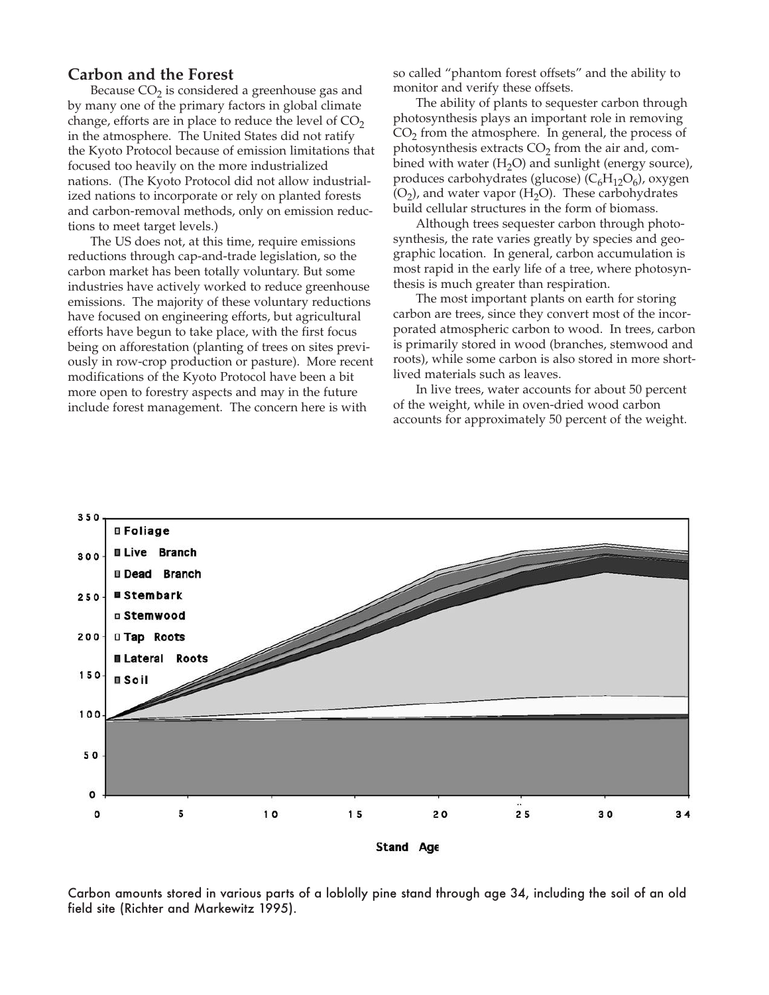## **Carbon and the Forest**

Because  $CO<sub>2</sub>$  is considered a greenhouse gas and by many one of the primary factors in global climate change, efforts are in place to reduce the level of  $CO<sub>2</sub>$ in the atmosphere. The United States did not ratify the Kyoto Protocol because of emission limitations that focused too heavily on the more industrialized nations. (The Kyoto Protocol did not allow industrialized nations to incorporate or rely on planted forests and carbon-removal methods, only on emission reductions to meet target levels.)

The US does not, at this time, require emissions reductions through cap-and-trade legislation, so the carbon market has been totally voluntary. But some industries have actively worked to reduce greenhouse emissions. The majority of these voluntary reductions have focused on engineering efforts, but agricultural efforts have begun to take place, with the first focus being on afforestation (planting of trees on sites previously in row-crop production or pasture). More recent modifications of the Kyoto Protocol have been a bit more open to forestry aspects and may in the future include forest management. The concern here is with

so called "phantom forest offsets" and the ability to monitor and verify these offsets.

The ability of plants to sequester carbon through photosynthesis plays an important role in removing  $CO<sub>2</sub>$  from the atmosphere. In general, the process of photosynthesis extracts  $CO<sub>2</sub>$  from the air and, combined with water  $(H<sub>2</sub>O)$  and sunlight (energy source), produces carbohydrates (glucose) ( $C_6H_{12}O_6$ ), oxygen  $(O_2)$ , and water vapor (H<sub>2</sub>O). These carbohydrates build cellular structures in the form of biomass.

Although trees sequester carbon through photosynthesis, the rate varies greatly by species and geographic location. In general, carbon accumulation is most rapid in the early life of a tree, where photosynthesis is much greater than respiration.

The most important plants on earth for storing carbon are trees, since they convert most of the incorporated atmospheric carbon to wood. In trees, carbon is primarily stored in wood (branches, stemwood and roots), while some carbon is also stored in more shortlived materials such as leaves.

In live trees, water accounts for about 50 percent of the weight, while in oven-dried wood carbon accounts for approximately 50 percent of the weight.



Carbon amounts stored in various parts of a loblolly pine stand through age 34, including the soil of an old field site (Richter and Markewitz 1995).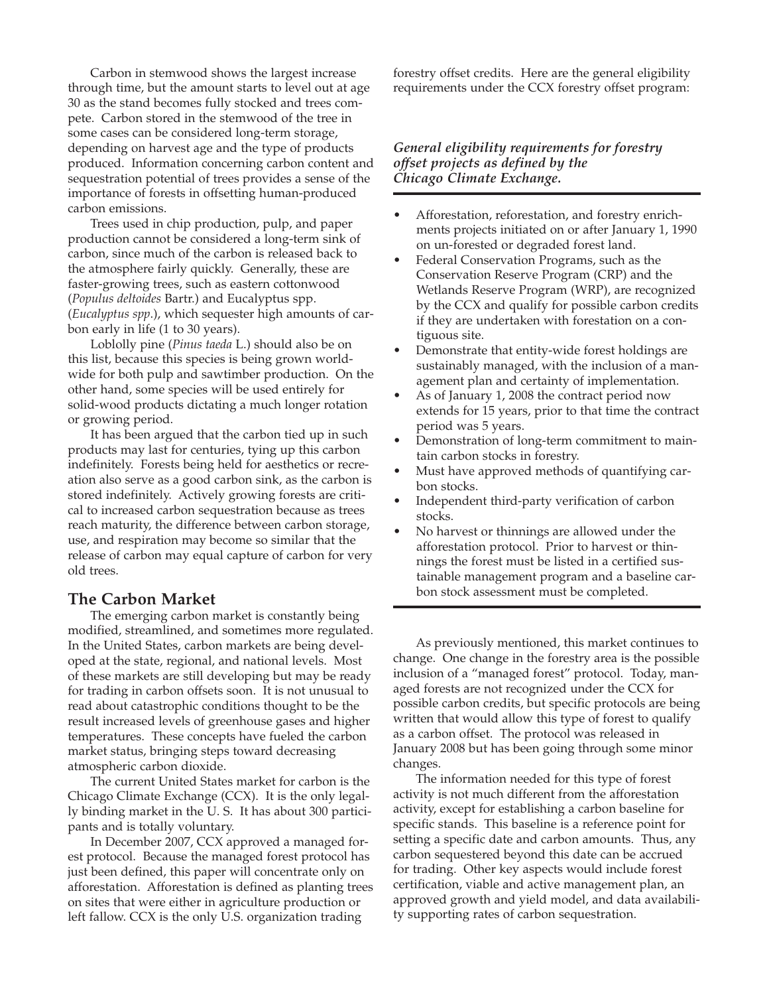Carbon in stemwood shows the largest increase through time, but the amount starts to level out at age 30 as the stand becomes fully stocked and trees compete. Carbon stored in the stemwood of the tree in some cases can be considered long-term storage, depending on harvest age and the type of products produced. Information concerning carbon content and sequestration potential of trees provides a sense of the importance of forests in offsetting human-produced carbon emissions.

Trees used in chip production, pulp, and paper production cannot be considered a long-term sink of carbon, since much of the carbon is released back to the atmosphere fairly quickly. Generally, these are faster-growing trees, such as eastern cottonwood (*Populus deltoides* Bartr.) and Eucalyptus spp. (*Eucalyptus spp*.), which sequester high amounts of carbon early in life (1 to 30 years).

Loblolly pine (*Pinus taeda* L.) should also be on this list, because this species is being grown worldwide for both pulp and sawtimber production. On the other hand, some species will be used entirely for solid-wood products dictating a much longer rotation or growing period.

It has been argued that the carbon tied up in such products may last for centuries, tying up this carbon indefinitely. Forests being held for aesthetics or recreation also serve as a good carbon sink, as the carbon is stored indefinitely. Actively growing forests are critical to increased carbon sequestration because as trees reach maturity, the difference between carbon storage, use, and respiration may become so similar that the release of carbon may equal capture of carbon for very old trees.

## **The Carbon Market**

The emerging carbon market is constantly being modified, streamlined, and sometimes more regulated. In the United States, carbon markets are being developed at the state, regional, and national levels. Most of these markets are still developing but may be ready for trading in carbon offsets soon. It is not unusual to read about catastrophic conditions thought to be the result increased levels of greenhouse gases and higher temperatures. These concepts have fueled the carbon market status, bringing steps toward decreasing atmospheric carbon dioxide.

The current United States market for carbon is the Chicago Climate Exchange (CCX). It is the only legally binding market in the U. S. It has about 300 participants and is totally voluntary.

In December 2007, CCX approved a managed forest protocol. Because the managed forest protocol has just been defined, this paper will concentrate only on afforestation. Afforestation is defined as planting trees on sites that were either in agriculture production or left fallow. CCX is the only U.S. organization trading

forestry offset credits. Here are the general eligibility requirements under the CCX forestry offset program:

### *General eligibility requirements for forestry offset projects as defined by the Chicago Climate Exchange.*

- Afforestation, reforestation, and forestry enrichments projects initiated on or after January 1, 1990 on un-forested or degraded forest land.
- Federal Conservation Programs, such as the Conservation Reserve Program (CRP) and the Wetlands Reserve Program (WRP), are recognized by the CCX and qualify for possible carbon credits if they are undertaken with forestation on a contiguous site.
- Demonstrate that entity-wide forest holdings are sustainably managed, with the inclusion of a management plan and certainty of implementation.
- As of January 1, 2008 the contract period now extends for 15 years, prior to that time the contract period was 5 years.
- Demonstration of long-term commitment to maintain carbon stocks in forestry.
- Must have approved methods of quantifying carbon stocks.
- Independent third-party verification of carbon stocks.
- No harvest or thinnings are allowed under the afforestation protocol. Prior to harvest or thinnings the forest must be listed in a certified sustainable management program and a baseline carbon stock assessment must be completed.

As previously mentioned, this market continues to change. One change in the forestry area is the possible inclusion of a "managed forest" protocol. Today, managed forests are not recognized under the CCX for possible carbon credits, but specific protocols are being written that would allow this type of forest to qualify as a carbon offset. The protocol was released in January 2008 but has been going through some minor changes.

The information needed for this type of forest activity is not much different from the afforestation activity, except for establishing a carbon baseline for specific stands. This baseline is a reference point for setting a specific date and carbon amounts. Thus, any carbon sequestered beyond this date can be accrued for trading. Other key aspects would include forest certification, viable and active management plan, an approved growth and yield model, and data availability supporting rates of carbon sequestration.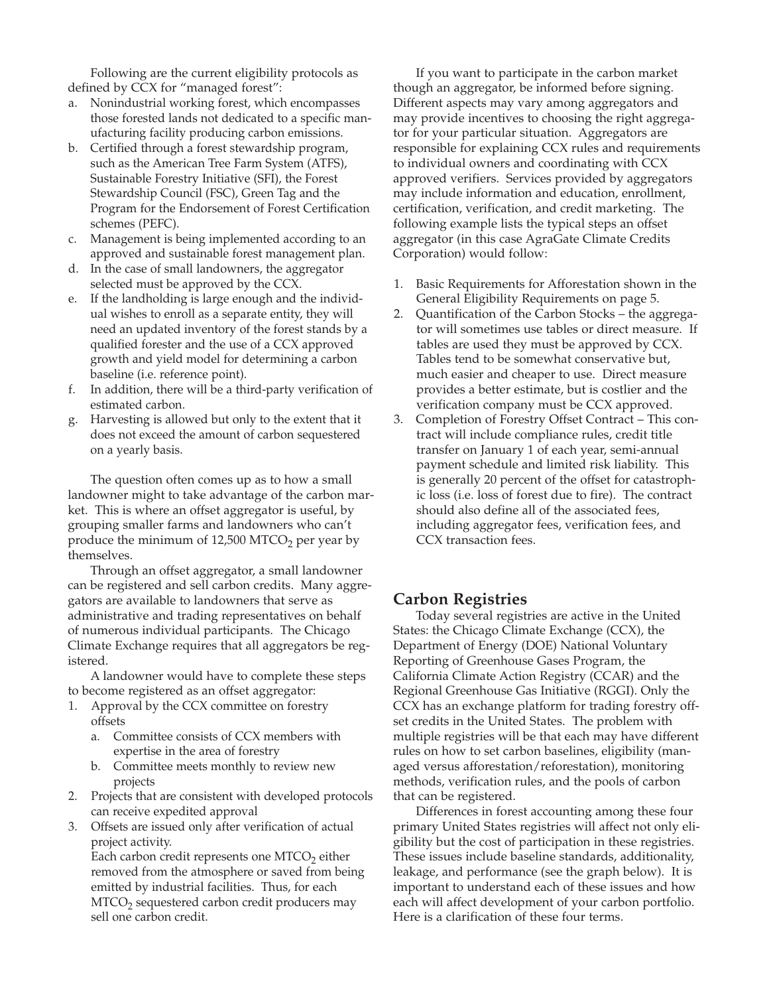Following are the current eligibility protocols as defined by CCX for "managed forest":

- Nonindustrial working forest, which encompasses those forested lands not dedicated to a specific manufacturing facility producing carbon emissions.
- b. Certified through a forest stewardship program, such as the American Tree Farm System (ATFS), Sustainable Forestry Initiative (SFI), the Forest Stewardship Council (FSC), Green Tag and the Program for the Endorsement of Forest Certification schemes (PEFC).
- c. Management is being implemented according to an approved and sustainable forest management plan.
- d. In the case of small landowners, the aggregator selected must be approved by the CCX.
- e. If the landholding is large enough and the individual wishes to enroll as a separate entity, they will need an updated inventory of the forest stands by a qualified forester and the use of a CCX approved growth and yield model for determining a carbon baseline (i.e. reference point).
- f. In addition, there will be a third-party verification of estimated carbon.
- g. Harvesting is allowed but only to the extent that it does not exceed the amount of carbon sequestered on a yearly basis.

The question often comes up as to how a small landowner might to take advantage of the carbon market. This is where an offset aggregator is useful, by grouping smaller farms and landowners who can't produce the minimum of  $12,500$  MTCO<sub>2</sub> per year by themselves.

Through an offset aggregator, a small landowner can be registered and sell carbon credits. Many aggregators are available to landowners that serve as administrative and trading representatives on behalf of numerous individual participants. The Chicago Climate Exchange requires that all aggregators be registered.

A landowner would have to complete these steps to become registered as an offset aggregator:

- 1. Approval by the CCX committee on forestry offsets
	- a. Committee consists of CCX members with expertise in the area of forestry
	- b. Committee meets monthly to review new projects
- 2. Projects that are consistent with developed protocols can receive expedited approval
- 3. Offsets are issued only after verification of actual project activity.

Each carbon credit represents one MTCO<sub>2</sub> either removed from the atmosphere or saved from being emitted by industrial facilities. Thus, for each  $MTCO<sub>2</sub>$  sequestered carbon credit producers may sell one carbon credit.

If you want to participate in the carbon market though an aggregator, be informed before signing. Different aspects may vary among aggregators and may provide incentives to choosing the right aggregator for your particular situation. Aggregators are responsible for explaining CCX rules and requirements to individual owners and coordinating with CCX approved verifiers. Services provided by aggregators may include information and education, enrollment, certification, verification, and credit marketing. The following example lists the typical steps an offset aggregator (in this case AgraGate Climate Credits Corporation) would follow:

- 1. Basic Requirements for Afforestation shown in the General Eligibility Requirements on page 5.
- 2. Quantification of the Carbon Stocks the aggregator will sometimes use tables or direct measure. If tables are used they must be approved by CCX. Tables tend to be somewhat conservative but, much easier and cheaper to use. Direct measure provides a better estimate, but is costlier and the verification company must be CCX approved.
- 3. Completion of Forestry Offset Contract This contract will include compliance rules, credit title transfer on January 1 of each year, semi-annual payment schedule and limited risk liability. This is generally 20 percent of the offset for catastrophic loss (i.e. loss of forest due to fire). The contract should also define all of the associated fees, including aggregator fees, verification fees, and CCX transaction fees.

## **Carbon Registries**

Today several registries are active in the United States: the Chicago Climate Exchange (CCX), the Department of Energy (DOE) National Voluntary Reporting of Greenhouse Gases Program, the California Climate Action Registry (CCAR) and the Regional Greenhouse Gas Initiative (RGGI). Only the CCX has an exchange platform for trading forestry offset credits in the United States. The problem with multiple registries will be that each may have different rules on how to set carbon baselines, eligibility (managed versus afforestation/reforestation), monitoring methods, verification rules, and the pools of carbon that can be registered.

Differences in forest accounting among these four primary United States registries will affect not only eligibility but the cost of participation in these registries. These issues include baseline standards, additionality, leakage, and performance (see the graph below). It is important to understand each of these issues and how each will affect development of your carbon portfolio. Here is a clarification of these four terms.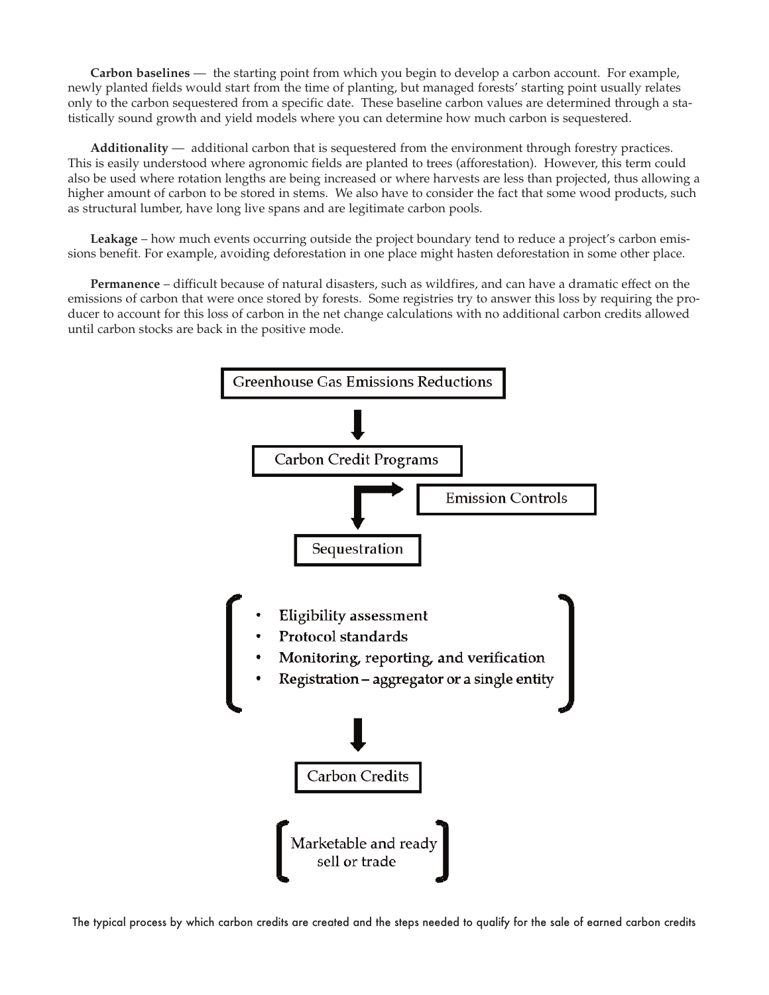**Carbon baselines** — the starting point from which you begin to develop a carbon account. For example, newly planted fields would start from the time of planting, but managed forests' starting point usually relates only to the carbon sequestered from a specific date. These baseline carbon values are determined through a statistically sound growth and yield models where you can determine how much carbon is sequestered.

**Additionality** — additional carbon that is sequestered from the environment through forestry practices. This is easily understood where agronomic fields are planted to trees (afforestation). However, this term could also be used where rotation lengths are being increased or where harvests are less than projected, thus allowing a higher amount of carbon to be stored in stems. We also have to consider the fact that some wood products, such as structural lumber, have long live spans and are legitimate carbon pools.

Leakage – how much events occurring outside the project boundary tend to reduce a project's carbon emissions benefit. For example, avoiding deforestation in one place might hasten deforestation in some other place.

**Permanence** – difficult because of natural disasters, such as wildfires, and can have a dramatic effect on the emissions of carbon that were once stored by forests. Some registries try to answer this loss by requiring the producer to account for this loss of carbon in the net change calculations with no additional carbon credits allowed until carbon stocks are back in the positive mode.



The typical process by which carbon credits are created and the steps needed to qualify for the sale of earned carbon credits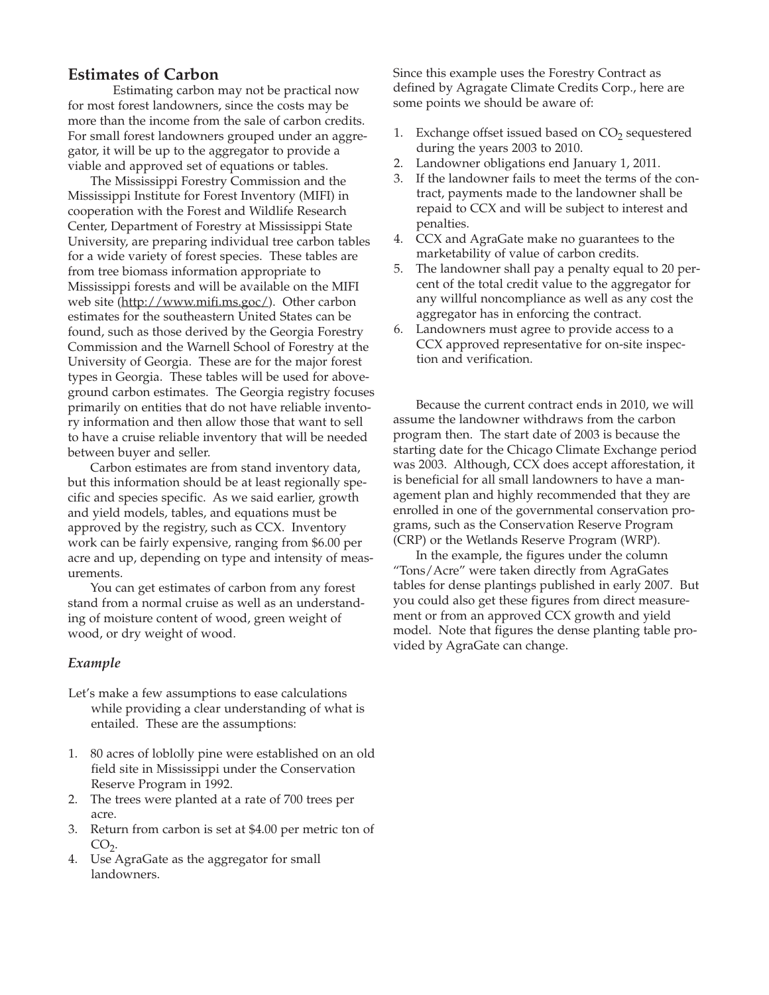## **Estimates of Carbon**

Estimating carbon may not be practical now for most forest landowners, since the costs may be more than the income from the sale of carbon credits. For small forest landowners grouped under an aggregator, it will be up to the aggregator to provide a viable and approved set of equations or tables.

The Mississippi Forestry Commission and the Mississippi Institute for Forest Inventory (MIFI) in cooperation with the Forest and Wildlife Research Center, Department of Forestry at Mississippi State University, are preparing individual tree carbon tables for a wide variety of forest species. These tables are from tree biomass information appropriate to Mississippi forests and will be available on the MIFI web site (http://www.mifi.ms.goc/). Other carbon estimates for the southeastern United States can be found, such as those derived by the Georgia Forestry Commission and the Warnell School of Forestry at the University of Georgia. These are for the major forest types in Georgia. These tables will be used for aboveground carbon estimates. The Georgia registry focuses primarily on entities that do not have reliable inventory information and then allow those that want to sell to have a cruise reliable inventory that will be needed between buyer and seller.

Carbon estimates are from stand inventory data, but this information should be at least regionally specific and species specific. As we said earlier, growth and yield models, tables, and equations must be approved by the registry, such as CCX. Inventory work can be fairly expensive, ranging from \$6.00 per acre and up, depending on type and intensity of measurements.

You can get estimates of carbon from any forest stand from a normal cruise as well as an understanding of moisture content of wood, green weight of wood, or dry weight of wood.

#### *Example*

- Let's make a few assumptions to ease calculations while providing a clear understanding of what is entailed. These are the assumptions:
- 1. 80 acres of loblolly pine were established on an old field site in Mississippi under the Conservation Reserve Program in 1992.
- 2. The trees were planted at a rate of 700 trees per acre.
- 3. Return from carbon is set at \$4.00 per metric ton of  $CO<sub>2</sub>$ .
- 4. Use AgraGate as the aggregator for small landowners.

Since this example uses the Forestry Contract as defined by Agragate Climate Credits Corp., here are some points we should be aware of:

- 1. Exchange offset issued based on  $CO<sub>2</sub>$  sequestered during the years 2003 to 2010.
- 2. Landowner obligations end January 1, 2011.
- 3. If the landowner fails to meet the terms of the contract, payments made to the landowner shall be repaid to CCX and will be subject to interest and penalties.
- 4. CCX and AgraGate make no guarantees to the marketability of value of carbon credits.
- 5. The landowner shall pay a penalty equal to 20 percent of the total credit value to the aggregator for any willful noncompliance as well as any cost the aggregator has in enforcing the contract.
- 6. Landowners must agree to provide access to a CCX approved representative for on-site inspection and verification.

Because the current contract ends in 2010, we will assume the landowner withdraws from the carbon program then. The start date of 2003 is because the starting date for the Chicago Climate Exchange period was 2003. Although, CCX does accept afforestation, it is beneficial for all small landowners to have a management plan and highly recommended that they are enrolled in one of the governmental conservation programs, such as the Conservation Reserve Program (CRP) or the Wetlands Reserve Program (WRP).

In the example, the figures under the column "Tons/Acre" were taken directly from AgraGates tables for dense plantings published in early 2007. But you could also get these figures from direct measurement or from an approved CCX growth and yield model. Note that figures the dense planting table provided by AgraGate can change.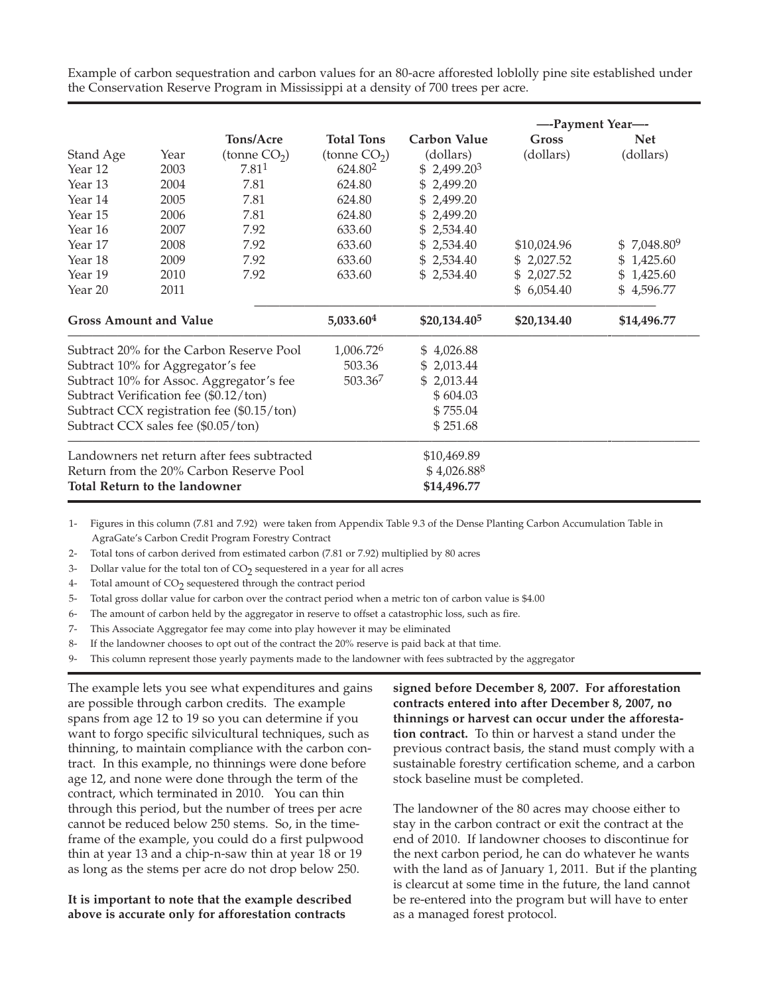Example of carbon sequestration and carbon values for an 80-acre afforested loblolly pine site established under the Conservation Reserve Program in Mississippi at a density of 700 trees per acre.

|                                             |      |                   |                       |                          | ---Payment Year--- |               |
|---------------------------------------------|------|-------------------|-----------------------|--------------------------|--------------------|---------------|
|                                             |      | Tons/Acre         | <b>Total Tons</b>     | <b>Carbon Value</b>      | Gross              | <b>Net</b>    |
| Stand Age                                   | Year | (tonne $CO2$ )    | (tonne $CO2$ )        | (dollars)                | (dollars)          | (dollars)     |
| Year 12                                     | 2003 | 7.81 <sup>1</sup> | 624.80 <sup>2</sup>   | $$2,499.20^3$            |                    |               |
| Year 13                                     | 2004 | 7.81              | 624.80                | \$2,499.20               |                    |               |
| Year 14                                     | 2005 | 7.81              | 624.80                | \$2,499.20               |                    |               |
| Year 15                                     | 2006 | 7.81              | 624.80                | \$2,499.20               |                    |               |
| Year 16                                     | 2007 | 7.92              | 633.60                | \$2,534.40               |                    |               |
| Year 17                                     | 2008 | 7.92              | 633.60                | \$2,534.40               | \$10,024.96        | $$7,048.80^9$ |
| Year 18                                     | 2009 | 7.92              | 633.60                | \$2,534.40               | \$2,027.52         | \$1,425.60    |
| Year 19                                     | 2010 | 7.92              | 633.60                | \$2,534.40               | \$2,027.52         | \$1,425.60    |
| Year 20                                     | 2011 |                   |                       |                          | \$6,054.40         | \$4,596.77    |
| <b>Gross Amount and Value</b>               |      |                   | 5,033.604             | \$20,134.40 <sup>5</sup> | \$20,134.40        | \$14,496.77   |
| Subtract 20% for the Carbon Reserve Pool    |      |                   | 1,006.72 <sup>6</sup> | \$4,026.88               |                    |               |
| Subtract 10% for Aggregator's fee           |      |                   | 503.36                | \$2,013.44               |                    |               |
| Subtract 10% for Assoc. Aggregator's fee    |      |                   | 503.367               | \$2,013.44               |                    |               |
| Subtract Verification fee (\$0.12/ton)      |      |                   |                       | \$604.03                 |                    |               |
| Subtract CCX registration fee (\$0.15/ton)  |      |                   |                       | \$755.04                 |                    |               |
| Subtract CCX sales fee (\$0.05/ton)         |      |                   |                       | \$251.68                 |                    |               |
| Landowners net return after fees subtracted |      |                   |                       | \$10,469.89              |                    |               |
| Return from the 20% Carbon Reserve Pool     |      |                   |                       | \$4,026.888              |                    |               |
| Total Return to the landowner               |      |                   |                       | \$14,496.77              |                    |               |

1- Figures in this column (7.81 and 7.92) were taken from Appendix Table 9.3 of the Dense Planting Carbon Accumulation Table in AgraGate's Carbon Credit Program Forestry Contract

- 2- Total tons of carbon derived from estimated carbon (7.81 or 7.92) multiplied by 80 acres
- 3- Dollar value for the total ton of  $CO<sub>2</sub>$  sequestered in a year for all acres
- 4- Total amount of CO<sub>2</sub> sequestered through the contract period
- 5- Total gross dollar value for carbon over the contract period when a metric ton of carbon value is \$4.00
- 6- The amount of carbon held by the aggregator in reserve to offset a catastrophic loss, such as fire.
- 7- This Associate Aggregator fee may come into play however it may be eliminated
- 8- If the landowner chooses to opt out of the contract the 20% reserve is paid back at that time.
- 9- This column represent those yearly payments made to the landowner with fees subtracted by the aggregator

The example lets you see what expenditures and gains are possible through carbon credits. The example spans from age 12 to 19 so you can determine if you want to forgo specific silvicultural techniques, such as thinning, to maintain compliance with the carbon contract. In this example, no thinnings were done before age 12, and none were done through the term of the contract, which terminated in 2010. You can thin through this period, but the number of trees per acre cannot be reduced below 250 stems. So, in the timeframe of the example, you could do a first pulpwood thin at year 13 and a chip-n-saw thin at year 18 or 19 as long as the stems per acre do not drop below 250.

#### **It is important to note that the example described above is accurate only for afforestation contracts**

**signed before December 8, 2007. For afforestation contracts entered into after December 8, 2007, no thinnings or harvest can occur under the afforestation contract.** To thin or harvest a stand under the previous contract basis, the stand must comply with a sustainable forestry certification scheme, and a carbon stock baseline must be completed.

The landowner of the 80 acres may choose either to stay in the carbon contract or exit the contract at the end of 2010. If landowner chooses to discontinue for the next carbon period, he can do whatever he wants with the land as of January 1, 2011. But if the planting is clearcut at some time in the future, the land cannot be re-entered into the program but will have to enter as a managed forest protocol.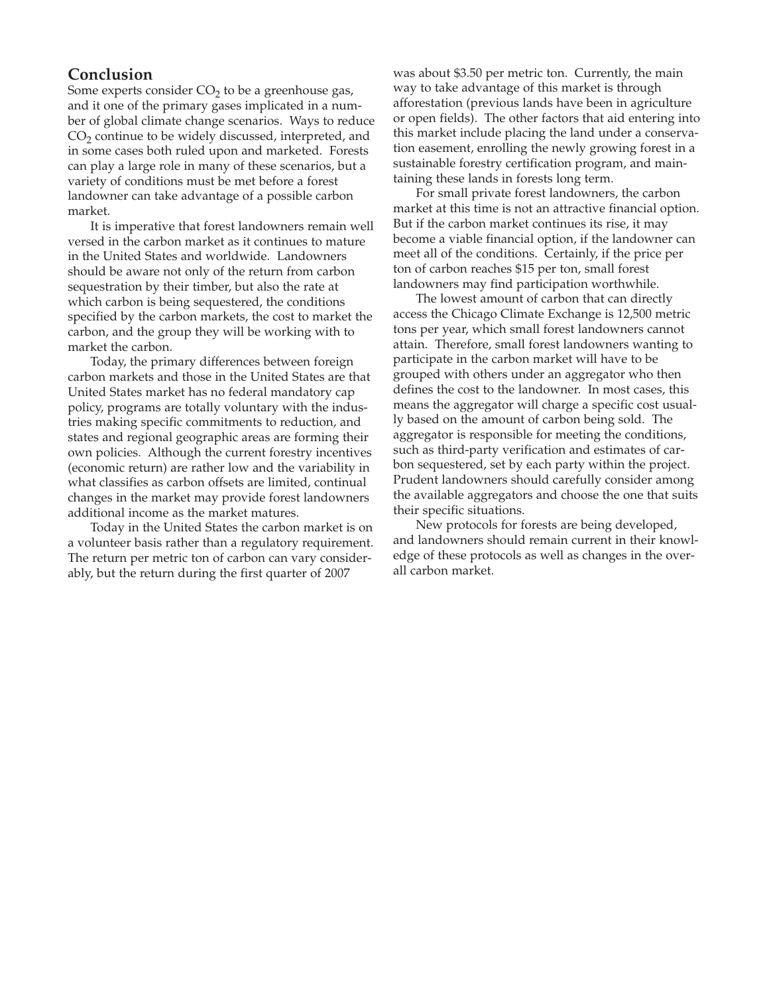## **Conclusion**

Some experts consider  $CO<sub>2</sub>$  to be a greenhouse gas, and it one of the primary gases implicated in a number of global climate change scenarios. Ways to reduce  $CO<sub>2</sub>$  continue to be widely discussed, interpreted, and in some cases both ruled upon and marketed. Forests can play a large role in many of these scenarios, but a variety of conditions must be met before a forest landowner can take advantage of a possible carbon market.

It is imperative that forest landowners remain well versed in the carbon market as it continues to mature in the United States and worldwide. Landowners should be aware not only of the return from carbon sequestration by their timber, but also the rate at which carbon is being sequestered, the conditions specified by the carbon markets, the cost to market the carbon, and the group they will be working with to market the carbon.

Today, the primary differences between foreign carbon markets and those in the United States are that United States market has no federal mandatory cap policy, programs are totally voluntary with the industries making specific commitments to reduction, and states and regional geographic areas are forming their own policies. Although the current forestry incentives (economic return) are rather low and the variability in what classifies as carbon offsets are limited, continual changes in the market may provide forest landowners additional income as the market matures.

Today in the United States the carbon market is on a volunteer basis rather than a regulatory requirement. The return per metric ton of carbon can vary considerably, but the return during the first quarter of 2007

was about \$3.50 per metric ton. Currently, the main way to take advantage of this market is through afforestation (previous lands have been in agriculture or open fields). The other factors that aid entering into this market include placing the land under a conservation easement, enrolling the newly growing forest in a sustainable forestry certification program, and maintaining these lands in forests long term.

For small private forest landowners, the carbon market at this time is not an attractive financial option. But if the carbon market continues its rise, it may become a viable financial option, if the landowner can meet all of the conditions. Certainly, if the price per ton of carbon reaches \$15 per ton, small forest landowners may find participation worthwhile.

The lowest amount of carbon that can directly access the Chicago Climate Exchange is 12,500 metric tons per year, which small forest landowners cannot attain. Therefore, small forest landowners wanting to participate in the carbon market will have to be grouped with others under an aggregator who then defines the cost to the landowner. In most cases, this means the aggregator will charge a specific cost usually based on the amount of carbon being sold. The aggregator is responsible for meeting the conditions, such as third-party verification and estimates of carbon sequestered, set by each party within the project. Prudent landowners should carefully consider among the available aggregators and choose the one that suits their specific situations.

New protocols for forests are being developed, and landowners should remain current in their knowledge of these protocols as well as changes in the overall carbon market.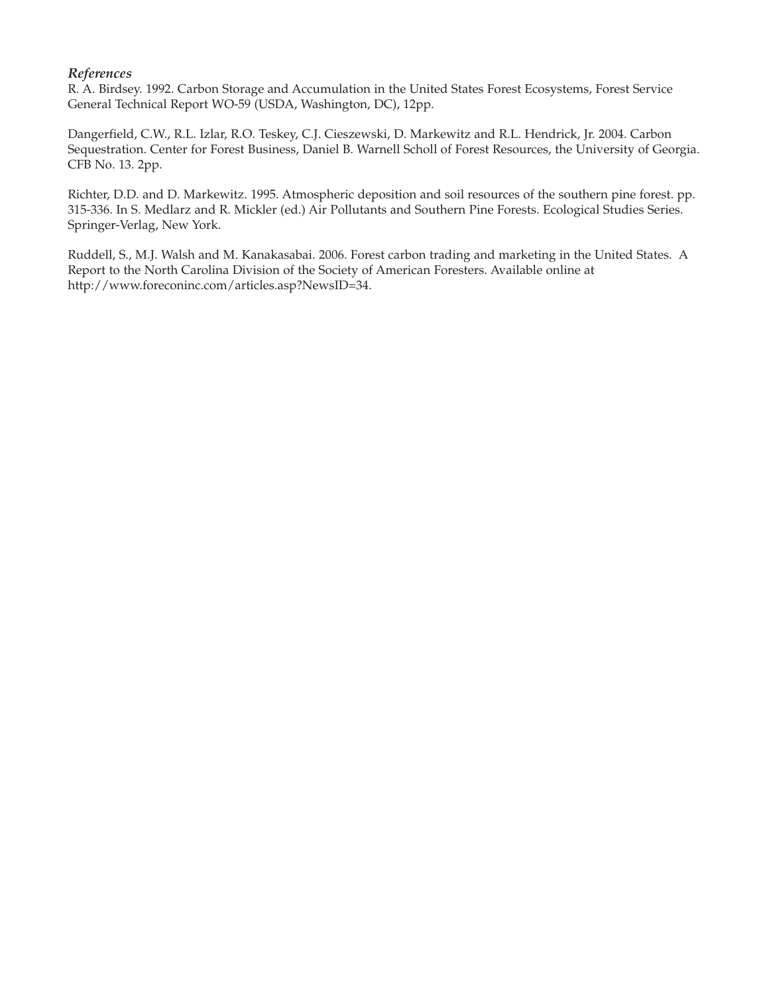## *References*

R. A. Birdsey. 1992. Carbon Storage and Accumulation in the United States Forest Ecosystems, Forest Service General Technical Report WO-59 (USDA, Washington, DC), 12pp.

Dangerfield, C.W., R.L. Izlar, R.O. Teskey, C.J. Cieszewski, D. Markewitz and R.L. Hendrick, Jr. 2004. Carbon Sequestration. Center for Forest Business, Daniel B. Warnell Scholl of Forest Resources, the University of Georgia. CFB No. 13. 2pp.

Richter, D.D. and D. Markewitz. 1995. Atmospheric deposition and soil resources of the southern pine forest. pp. 315-336. In S. Medlarz and R. Mickler (ed.) Air Pollutants and Southern Pine Forests. Ecological Studies Series. Springer-Verlag, New York.

Ruddell, S., M.J. Walsh and M. Kanakasabai. 2006. Forest carbon trading and marketing in the United States. A Report to the North Carolina Division of the Society of American Foresters. Available online at http://www.foreconinc.com/articles.asp?NewsID=34.